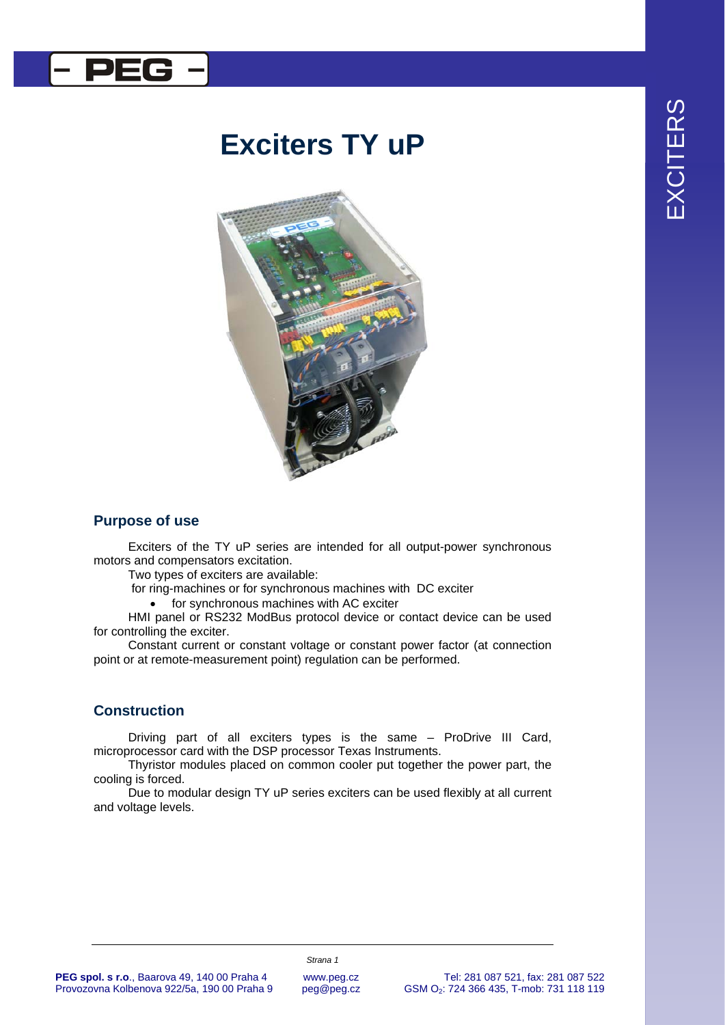

# **Exciters TY uP**



## **Purpose of use**

Exciters of the TY uP series are intended for all output-power synchronous motors and compensators excitation.

Two types of exciters are available:

for ring-machines or for synchronous machines with DC exciter

• for synchronous machines with AC exciter

HMI panel or RS232 ModBus protocol device or contact device can be used for controlling the exciter.

Constant current or constant voltage or constant power factor (at connection point or at remote-measurement point) regulation can be performed.

#### **Construction**

Driving part of all exciters types is the same – ProDrive III Card, microprocessor card with the DSP processor Texas Instruments.

Thyristor modules placed on common cooler put together the power part, the cooling is forced.

Due to modular design TY uP series exciters can be used flexibly at all current and voltage levels.